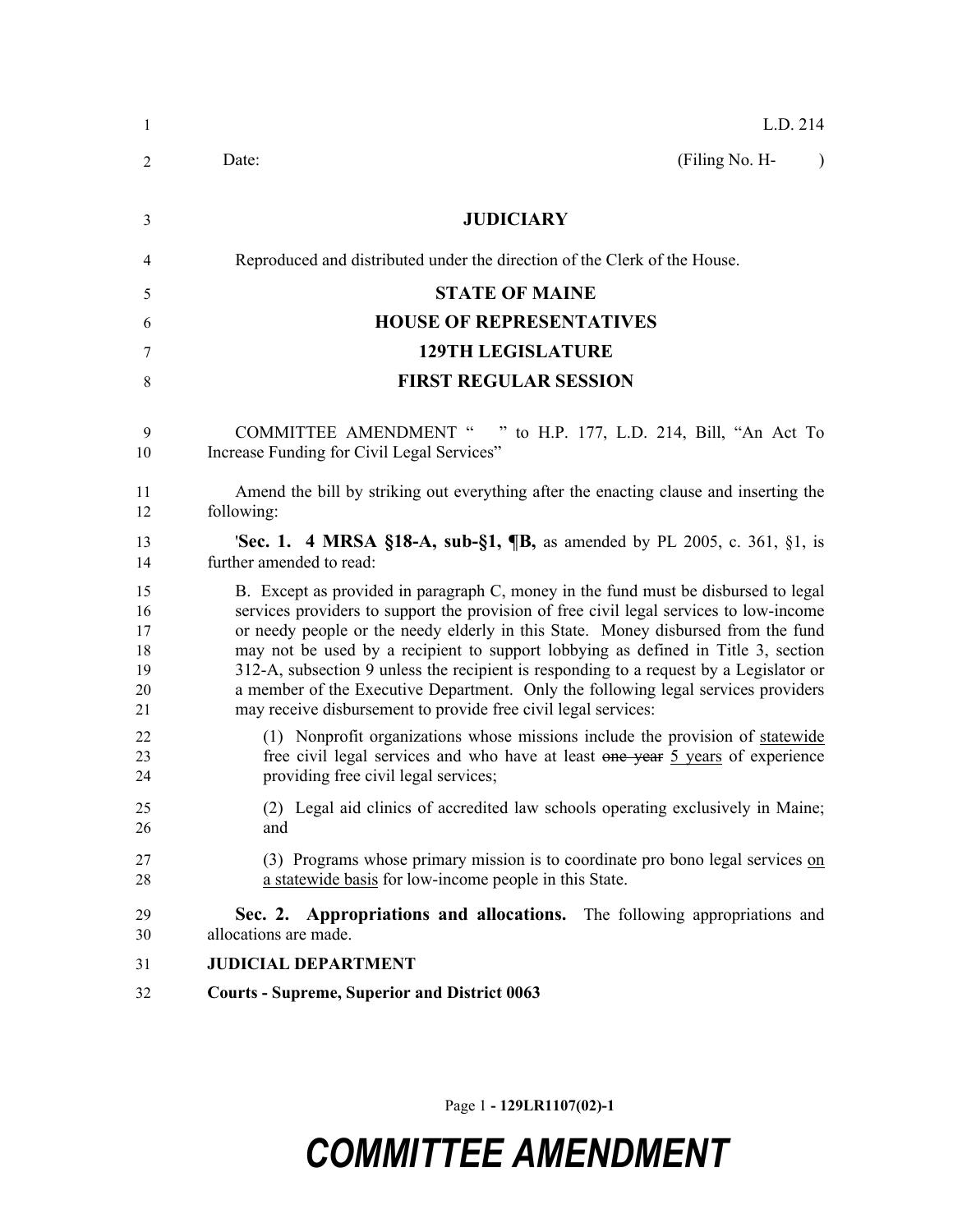| 1                                      | L.D. 214                                                                                                                                                                                                                                                                                                                                                                                                                                                                                                                                                                                                |  |  |
|----------------------------------------|---------------------------------------------------------------------------------------------------------------------------------------------------------------------------------------------------------------------------------------------------------------------------------------------------------------------------------------------------------------------------------------------------------------------------------------------------------------------------------------------------------------------------------------------------------------------------------------------------------|--|--|
| 2                                      | (Filing No. H-<br>Date:<br>$\lambda$                                                                                                                                                                                                                                                                                                                                                                                                                                                                                                                                                                    |  |  |
| 3                                      | <b>JUDICIARY</b>                                                                                                                                                                                                                                                                                                                                                                                                                                                                                                                                                                                        |  |  |
| 4                                      | Reproduced and distributed under the direction of the Clerk of the House.                                                                                                                                                                                                                                                                                                                                                                                                                                                                                                                               |  |  |
| 5                                      | <b>STATE OF MAINE</b>                                                                                                                                                                                                                                                                                                                                                                                                                                                                                                                                                                                   |  |  |
| 6                                      | <b>HOUSE OF REPRESENTATIVES</b>                                                                                                                                                                                                                                                                                                                                                                                                                                                                                                                                                                         |  |  |
| 7                                      | <b>129TH LEGISLATURE</b>                                                                                                                                                                                                                                                                                                                                                                                                                                                                                                                                                                                |  |  |
| 8                                      | <b>FIRST REGULAR SESSION</b>                                                                                                                                                                                                                                                                                                                                                                                                                                                                                                                                                                            |  |  |
| 9<br>10                                | <b>COMMITTEE AMENDMENT "</b><br>" to H.P. 177, L.D. 214, Bill, "An Act To<br>Increase Funding for Civil Legal Services"                                                                                                                                                                                                                                                                                                                                                                                                                                                                                 |  |  |
| 11<br>12                               | Amend the bill by striking out everything after the enacting clause and inserting the<br>following:                                                                                                                                                                                                                                                                                                                                                                                                                                                                                                     |  |  |
| 13<br>14                               | <b>'Sec. 1.</b> 4 MRSA §18-A, sub-§1, $\P$ B, as amended by PL 2005, c. 361, §1, is<br>further amended to read:                                                                                                                                                                                                                                                                                                                                                                                                                                                                                         |  |  |
| 15<br>16<br>17<br>18<br>19<br>20<br>21 | B. Except as provided in paragraph C, money in the fund must be disbursed to legal<br>services providers to support the provision of free civil legal services to low-income<br>or needy people or the needy elderly in this State. Money disbursed from the fund<br>may not be used by a recipient to support lobbying as defined in Title 3, section<br>312-A, subsection 9 unless the recipient is responding to a request by a Legislator or<br>a member of the Executive Department. Only the following legal services providers<br>may receive disbursement to provide free civil legal services: |  |  |
| 22<br>23<br>24                         | (1) Nonprofit organizations whose missions include the provision of statewide<br>free civil legal services and who have at least one year 5 years of experience<br>providing free civil legal services;                                                                                                                                                                                                                                                                                                                                                                                                 |  |  |
| 25<br>26                               | (2) Legal aid clinics of accredited law schools operating exclusively in Maine;<br>and                                                                                                                                                                                                                                                                                                                                                                                                                                                                                                                  |  |  |
| 27<br>28                               | (3) Programs whose primary mission is to coordinate pro bono legal services on<br>a statewide basis for low-income people in this State.                                                                                                                                                                                                                                                                                                                                                                                                                                                                |  |  |
| 29<br>30                               | Sec. 2. Appropriations and allocations. The following appropriations and<br>allocations are made.                                                                                                                                                                                                                                                                                                                                                                                                                                                                                                       |  |  |
| 31                                     | <b>JUDICIAL DEPARTMENT</b>                                                                                                                                                                                                                                                                                                                                                                                                                                                                                                                                                                              |  |  |
| 32                                     | <b>Courts - Supreme, Superior and District 0063</b>                                                                                                                                                                                                                                                                                                                                                                                                                                                                                                                                                     |  |  |

Page 1 **- 129LR1107(02)-1**

## *COMMITTEE AMENDMENT*